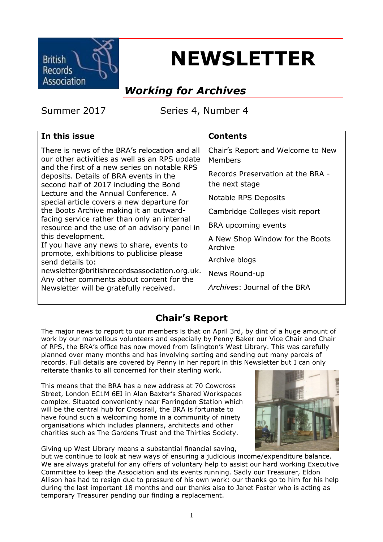

# **NEWSLETTER**

# *Working for Archives*

Summer 2017 Series 4, Number 4

| <b>Contents</b>                                     |
|-----------------------------------------------------|
| Chair's Report and Welcome to New<br>Members        |
| Records Preservation at the BRA -<br>the next stage |
| Notable RPS Deposits                                |
| Cambridge Colleges visit report                     |
| BRA upcoming events                                 |
| A New Shop Window for the Boots<br>Archive          |
| Archive blogs                                       |
| News Round-up                                       |
| Archives: Journal of the BRA                        |
|                                                     |

# **Chair's Report**

The major news to report to our members is that on April 3rd, by dint of a huge amount of work by our marvellous volunteers and especially by Penny Baker our Vice Chair and Chair of RPS, the BRA's office has now moved from Islington's West Library. This was carefully planned over many months and has involving sorting and sending out many parcels of records. Full details are covered by Penny in her report in this Newsletter but I can only reiterate thanks to all concerned for their sterling work.

This means that the BRA has a new address at 70 Cowcross Street, London EC1M 6EJ in Alan Baxter's Shared Workspaces complex. Situated conveniently near Farringdon Station which will be the central hub for Crossrail, the BRA is fortunate to have found such a welcoming home in a community of ninety organisations which includes planners, architects and other charities such as The Gardens Trust and the Thirties Society.

Giving up West Library means a substantial financial saving,

but we continue to look at new ways of ensuring a judicious income/expenditure balance. We are always grateful for any offers of voluntary help to assist our hard working Executive Committee to keep the Association and its events running. Sadly our Treasurer, Eldon Allison has had to resign due to pressure of his own work: our thanks go to him for his help during the last important 18 months and our thanks also to Janet Foster who is acting as temporary Treasurer pending our finding a replacement.

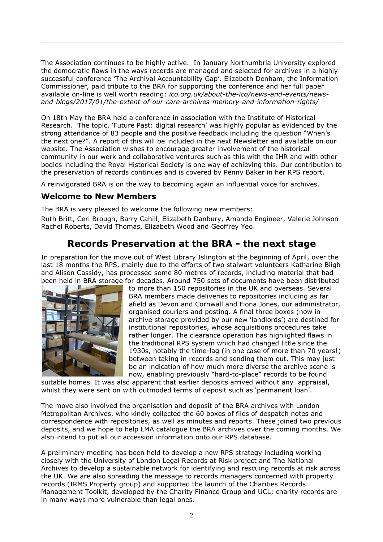The Association continues to be highly active. In January Northumbria University explored the democratic flaws in the ways records are managed and selected for archives in a highly successful conference 'The Archival Accountability Gap'. Elizabeth Denham, the Information Commissioner, paid tribute to the BRA for supporting the conference and her full paper available on-line is well worth reading: *ico.org.uk/about-the-ico/news-and-events/newsand-blogs/2017/01/the-extent-of-our-care-archives-memory-and-information-rights/*

On 18th May the BRA held a conference in association with the Institute of Historical Research. The topic, 'Future Past: digital research' was highly popular as evidenced by the strong attendance of 83 people and the positive feedback including the question "When's the next one?". A report of this will be included in the next Newsletter and available on our website. The Association wishes to encourage greater involvement of the historical community in our work and collaborative ventures such as this with the IHR and with other bodies including the Royal Historical Society is one way of achieving this. Our contribution to the preservation of records continues and is covered by Penny Baker in her RPS report.

A reinvigorated BRA is on the way to becoming again an influential voice for archives.

#### **Welcome to New Members**

The BRA is very pleased to welcome the following new members:

Ruth Britt, Ceri Brough, Barry Cahill, Elizabeth Danbury, Amanda Engineer, Valerie Johnson Rachel Roberts, David Thomas, Elizabeth Wood and Geoffrey Yeo.

# **Records Preservation at the BRA - the next stage**

In preparation for the move out of West Library Islington at the beginning of April, over the last 18 months the RPS, mainly due to the efforts of two stalwart volunteers Katharine Bligh and Alison Cassidy, has processed some 80 metres of records, including material that had been held in BRA storage for decades. Around 750 sets of documents have been distributed



to more than 150 repositories in the UK and overseas. Several BRA members made deliveries to repositories including as far afield as Devon and Cornwall and Fiona Jones, our administrator, organised couriers and posting. A final three boxes (now in archive storage provided by our new 'landlords') are destined for institutional repositories, whose acquisitions procedures take rather longer. The clearance operation has highlighted flaws in the traditional RPS system which had changed little since the 1930s, notably the time-lag (in one case of more than 70 years!) between taking in records and sending them out. This may just be an indication of how much more diverse the archive scene is now, enabling previously "hard-to-place" records to be found

suitable homes. It was also apparent that earlier deposits arrived without any appraisal, whilst they were sent on with outmoded terms of deposit such as 'permanent loan'.

The move also involved the organisation and deposit of the BRA archives with London Metropolitan Archives, who kindly collected the 60 boxes of files of despatch notes and correspondence with repositories, as well as minutes and reports. These joined two previous deposits, and we hope to help LMA catalogue the BRA archives over the coming months. We also intend to put all our accession information onto our RPS database.

A preliminary meeting has been held to develop a new RPS strategy including working closely with the University of London Legal Records at Risk project and The National Archives to develop a sustainable network for identifying and rescuing records at risk across the UK. We are also spreading the message to records managers concerned with property records (IRMS Property group) and supported the launch of the Charities Records Management Toolkit, developed by the Charity Finance Group and UCL; charity records are in many ways more vulnerable than legal ones.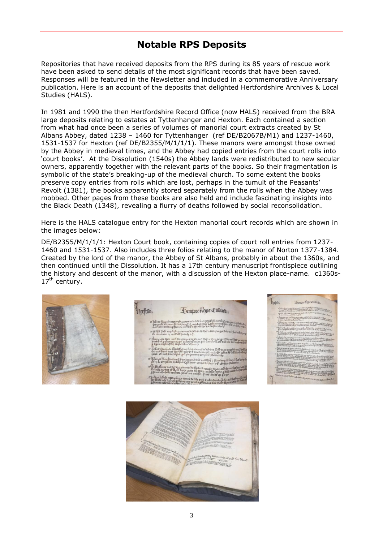# **Notable RPS Deposits**

Repositories that have received deposits from the RPS during its 85 years of rescue work have been asked to send details of the most significant records that have been saved. Responses will be featured in the Newsletter and included in a commemorative Anniversary publication. Here is an account of the deposits that delighted Hertfordshire Archives & Local Studies (HALS).

In 1981 and 1990 the then Hertfordshire Record Office (now HALS) received from the BRA large deposits relating to estates at Tyttenhanger and Hexton. Each contained a section from what had once been a series of volumes of manorial court extracts created by St Albans Abbey, dated 1238 – 1460 for Tyttenhanger (ref DE/B2067B/M1) and 1237-1460, 1531-1537 for Hexton (ref DE/B2355/M/1/1/1). These manors were amongst those owned by the Abbey in medieval times, and the Abbey had copied entries from the court rolls into 'court books'. At the Dissolution (1540s) the Abbey lands were redistributed to new secular owners, apparently together with the relevant parts of the books. So their fragmentation is symbolic of the state's breaking-up of the medieval church. To some extent the books preserve copy entries from rolls which are lost, perhaps in the tumult of the Peasants' Revolt (1381), the books apparently stored separately from the rolls when the Abbey was mobbed. Other pages from these books are also held and include fascinating insights into the Black Death (1348), revealing a flurry of deaths followed by social reconsolidation.

Here is the HALS catalogue entry for the Hexton manorial court records which are shown in the images below:

DE/B2355/M/1/1/1: Hexton Court book, containing copies of court roll entries from 1237- 1460 and 1531-1537. Also includes three folios relating to the manor of Norton 1377-1384. Created by the lord of the manor, the Abbey of St Albans, probably in about the 1360s, and then continued until the Dissolution. It has a 17th century manuscript frontispiece outlining the history and descent of the manor, with a discussion of the Hexton place-name. c1360s-17<sup>th</sup> century.



Denme Regis Colbard Perfton,



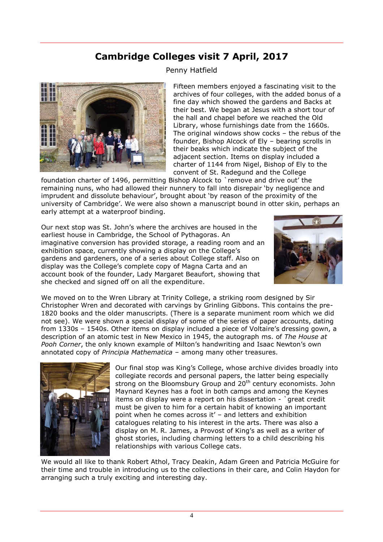# **Cambridge Colleges visit 7 April, 2017**

#### Penny Hatfield



Fifteen members enjoyed a fascinating visit to the archives of four colleges, with the added bonus of a fine day which showed the gardens and Backs at their best. We began at Jesus with a short tour of the hall and chapel before we reached the Old Library, whose furnishings date from the 1660s. The original windows show cocks – the rebus of the founder, Bishop Alcock of Ely – bearing scrolls in their beaks which indicate the subject of the adjacent section. Items on display included a charter of 1144 from Nigel, Bishop of Ely to the convent of St. Radegund and the College

foundation charter of 1496, permitting Bishop Alcock to `remove and drive out' the remaining nuns, who had allowed their nunnery to fall into disrepair 'by negligence and imprudent and dissolute behaviour', brought about 'by reason of the proximity of the university of Cambridge'. We were also shown a manuscript bound in otter skin, perhaps an early attempt at a waterproof binding.

Our next stop was St. John's where the archives are housed in the earliest house in Cambridge, the School of Pythagoras. An imaginative conversion has provided storage, a reading room and an exhibition space, currently showing a display on the College's gardens and gardeners, one of a series about College staff. Also on display was the College's complete copy of Magna Carta and an account book of the founder, Lady Margaret Beaufort, showing that she checked and signed off on all the expenditure.



We moved on to the Wren Library at Trinity College, a striking room designed by Sir Christopher Wren and decorated with carvings by Grinling Gibbons. This contains the pre-1820 books and the older manuscripts. (There is a separate muniment room which we did not see). We were shown a special display of some of the series of paper accounts, dating from 1330s – 1540s. Other items on display included a piece of Voltaire's dressing gown, a description of an atomic test in New Mexico in 1945, the autograph ms. of *The House at Pooh Corner*, the only known example of Milton's handwriting and Isaac Newton's own annotated copy of *Principia Mathematica* – among many other treasures.



Our final stop was King's College, whose archive divides broadly into collegiate records and personal papers, the latter being especially strong on the Bloomsbury Group and 20<sup>th</sup> century economists. John Maynard Keynes has a foot in both camps and among the Keynes items on display were a report on his dissertation - `great credit must be given to him for a certain habit of knowing an important point when he comes across it' – and letters and exhibition catalogues relating to his interest in the arts. There was also a display on M. R. James, a Provost of King's as well as a writer of ghost stories, including charming letters to a child describing his relationships with various College cats.

We would all like to thank Robert Athol, Tracy Deakin, Adam Green and Patricia McGuire for their time and trouble in introducing us to the collections in their care, and Colin Haydon for arranging such a truly exciting and interesting day.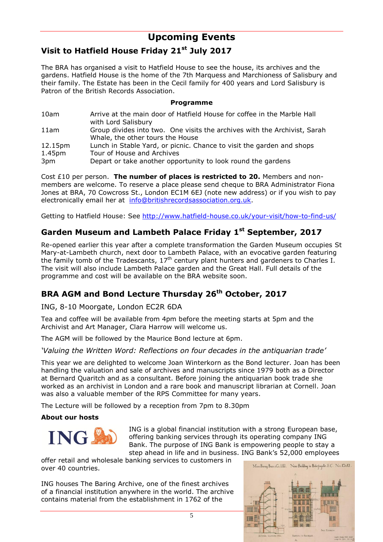# **Upcoming Events**

## **Visit to Hatfield House Friday 21st July 2017**

The BRA has organised a visit to Hatfield House to see the house, its archives and the gardens. Hatfield House is the home of the 7th Marquess and Marchioness of Salisbury and their family. The Estate has been in the Cecil family for 400 years and Lord Salisbury is Patron of the British Records Association.

#### **Programme**

| 10am    | Arrive at the main door of Hatfield House for coffee in the Marble Hall<br>with Lord Salisbury                |
|---------|---------------------------------------------------------------------------------------------------------------|
| 11am    | Group divides into two. One visits the archives with the Archivist, Sarah<br>Whale, the other tours the House |
| 12.15pm | Lunch in Stable Yard, or picnic. Chance to visit the garden and shops                                         |
| 1.45pm  | Tour of House and Archives                                                                                    |
| 3pm     | Depart or take another opportunity to look round the gardens                                                  |

Cost £10 per person. **The number of places is restricted to 20.** Members and nonmembers are welcome. To reserve a place please send cheque to BRA Administrator Fiona Jones at BRA, 70 Cowcross St., London EC1M 6EJ (note new address) or if you wish to pay electronically email her at [info@britishrecordsassociation.org.uk.](mailto:info@britishrecordsassociation.org.uk)

Getting to Hatfield House: See<http://www.hatfield-house.co.uk/your-visit/how-to-find-us/>

#### **Garden Museum and Lambeth Palace Friday 1st September, 2017**

Re-opened earlier this year after a complete transformation the Garden Museum occupies St Mary-at-Lambeth church, next door to Lambeth Palace, with an evocative garden featuring the family tomb of the Tradescants,  $17<sup>th</sup>$  century plant hunters and gardeners to Charles I. The visit will also include Lambeth Palace garden and the Great Hall. Full details of the programme and cost will be available on the BRA website soon.

## **BRA AGM and Bond Lecture Thursday 26th October, 2017**

ING, 8-10 Moorgate, London EC2R 6DA

Tea and coffee will be available from 4pm before the meeting starts at 5pm and the Archivist and Art Manager, Clara Harrow will welcome us.

The AGM will be followed by the Maurice Bond lecture at 6pm.

#### *'Valuing the Written Word: Reflections on four decades in the antiquarian trade'*

This year we are delighted to welcome Joan Winterkorn as the Bond lecturer. Joan has been handling the valuation and sale of archives and manuscripts since 1979 both as a Director at Bernard Quaritch and as a consultant. Before joining the antiquarian book trade she worked as an archivist in London and a rare book and manuscript librarian at Cornell. Joan was also a valuable member of the RPS Committee for many years.

The Lecture will be followed by a reception from 7pm to 8.30pm

#### **About our hosts**



ING is a global financial institution with a strong European base, offering banking services through its operating company ING Bank. The purpose of ING Bank is empowering people to stay a step ahead in life and in business. ING Bank's 52,000 employees

offer retail and wholesale banking services to customers in over 40 countries.

ING houses The Baring Archive, one of the finest archives of a financial institution anywhere in the world. The archive contains material from the establishment in 1762 of the

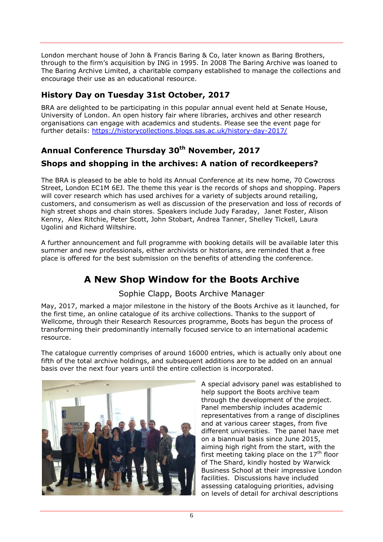London merchant house of John & Francis Baring & Co, later known as Baring Brothers, through to the firm's acquisition by ING in 1995. In 2008 The Baring Archive was loaned to The Baring Archive Limited, a charitable company established to manage the collections and encourage their use as an educational resource.

#### **History Day on Tuesday 31st October, 2017**

BRA are delighted to be participating in this popular annual event held at Senate House, University of London. An open history fair where libraries, archives and other research organisations can engage with academics and students. Please see the event page for further details:<https://historycollections.blogs.sas.ac.uk/history-day-2017/>

## **Annual Conference Thursday 30th November, 2017**

#### **Shops and shopping in the archives: A nation of recordkeepers?**

The BRA is pleased to be able to hold its Annual Conference at its new home, 70 Cowcross Street, London EC1M 6EJ. The theme this year is the records of shops and shopping. Papers will cover research which has used archives for a variety of subjects around retailing, customers, and consumerism as well as discussion of the preservation and loss of records of high street shops and chain stores. Speakers include Judy Faraday, Janet Foster, Alison Kenny, Alex Ritchie, Peter Scott, John Stobart, Andrea Tanner, Shelley Tickell, Laura Ugolini and Richard Wiltshire.

A further announcement and full programme with booking details will be available later this summer and new professionals, either archivists or historians, are reminded that a free place is offered for the best submission on the benefits of attending the conference.

# **A New Shop Window for the Boots Archive**

Sophie Clapp, Boots Archive Manager

May, 2017, marked a major milestone in the history of the Boots Archive as it launched, for the first time, an online catalogue of its archive collections. Thanks to the support of Wellcome, through their Research Resources programme, Boots has begun the process of transforming their predominantly internally focused service to an international academic resource.

The catalogue currently comprises of around 16000 entries, which is actually only about one fifth of the total archive holdings, and subsequent additions are to be added on an annual basis over the next four years until the entire collection is incorporated.



A special advisory panel was established to help support the Boots archive team through the development of the project. Panel membership includes academic representatives from a range of disciplines and at various career stages, from five different universities. The panel have met on a biannual basis since June 2015, aiming high right from the start, with the first meeting taking place on the  $17<sup>th</sup>$  floor of The Shard, kindly hosted by Warwick Business School at their impressive London facilities. Discussions have included assessing cataloguing priorities, advising on levels of detail for archival descriptions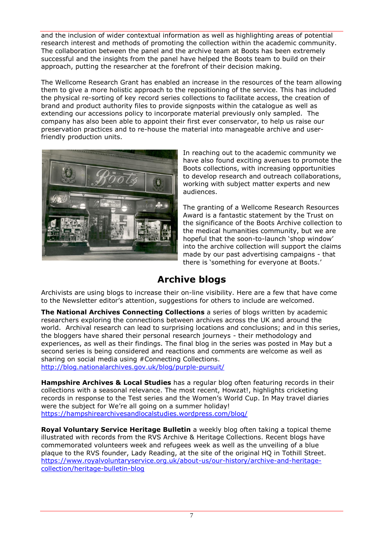and the inclusion of wider contextual information as well as highlighting areas of potential research interest and methods of promoting the collection within the academic community. The collaboration between the panel and the archive team at Boots has been extremely successful and the insights from the panel have helped the Boots team to build on their approach, putting the researcher at the forefront of their decision making.

The Wellcome Research Grant has enabled an increase in the resources of the team allowing them to give a more holistic approach to the repositioning of the service. This has included the physical re-sorting of key record series collections to facilitate access, the creation of brand and product authority files to provide signposts within the catalogue as well as extending our accessions policy to incorporate material previously only sampled. The company has also been able to appoint their first ever conservator, to help us raise our preservation practices and to re-house the material into manageable archive and userfriendly production units.



In reaching out to the academic community we have also found exciting avenues to promote the Boots collections, with increasing opportunities to develop research and outreach collaborations, working with subject matter experts and new audiences.

The granting of a Wellcome Research Resources Award is a fantastic statement by the Trust on the significance of the Boots Archive collection to the medical humanities community, but we are hopeful that the soon-to-launch 'shop window' into the archive collection will support the claims made by our past advertising campaigns - that there is 'something for everyone at Boots.'

# **Archive blogs**

Archivists are using blogs to increase their on-line visibility. Here are a few that have come to the Newsletter editor's attention, suggestions for others to include are welcomed.

**The National Archives Connecting Collections** a series of blogs written by academic researchers exploring the connections between archives across the UK and around the world. Archival research can lead to surprising locations and conclusions; and in this series, the bloggers have shared their personal research journeys - their methodology and experiences, as well as their findings. The final blog in the series was posted in May but a second series is being considered and reactions and comments are welcome as well as sharing on social media using #Connecting Collections. <http://blog.nationalarchives.gov.uk/blog/purple-pursuit/>

**Hampshire Archives & Local Studies** has a regular blog often featuring records in their collections with a seasonal relevance. The most recent, Howzat!, highlights cricketing records in response to the Test series and the Women's World Cup. In May travel diaries were the subject for We're all going on a summer holiday!

https://hampshirearchivesandlocalstudies.wordpress.com/blog/

**Royal Voluntary Service Heritage Bulletin** a weekly blog often taking a topical theme illustrated with records from the RVS Archive & Heritage Collections. Recent blogs have commemorated volunteers week and refugees week as well as the unveiling of a blue plaque to the RVS founder, Lady Reading, at the site of the original HQ in Tothill Street. https://www.royalvoluntaryservice.org.uk/about-us/our-history/archive-and-heritagecollection/heritage-bulletin-blog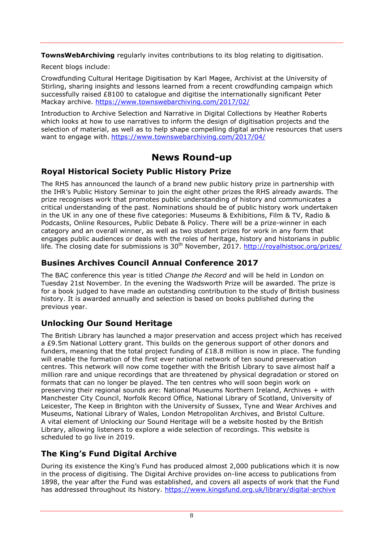**TownsWebArchiving** regularly invites contributions to its blog relating to digitisation.

Recent blogs include:

Crowdfunding Cultural Heritage Digitisation by Karl Magee, Archivist at the University of Stirling, sharing insights and lessons learned from a recent crowdfunding campaign which successfully raised £8100 to catalogue and digitise the internationally significant Peter Mackay archive. https://www.townswebarchiving.com/2017/02/

Introduction to Archive Selection and Narrative in Digital Collections by Heather Roberts which looks at how to use narratives to inform the design of digitisation projects and the selection of material, as well as to help shape compelling digital archive resources that users want to engage with. https://www.townswebarchiving.com/2017/04/

# **News Round-up**

#### **Royal Historical Society Public History Prize**

The RHS has announced the launch of a brand new [public history](http://royalhistsoc.org/prizes/public-history-prize/) prize in partnership with the IHR's Public History Seminar to join the eight other prizes the RHS already awards. The prize recognises work that promotes public understanding of history and communicates a critical understanding of the past. Nominations should be of public history work undertaken in the UK in any one of these five categories: Museums & Exhibitions, Film & TV, Radio & Podcasts, Online Resources, Public Debate & Policy. There will be a prize-winner in each category and an overall winner, as well as two student prizes for work in any form that engages public audiences or deals with the roles of heritage, history and historians in public life. The closing date for submissions is 30<sup>th</sup> November, 2017. http://royalhistsoc.org/prizes/

#### **Busines Archives Council Annual Conference 2017**

The BAC conference this year is titled *Change the Record* and will be held in London on Tuesday 21st November. In the evening the Wadsworth Prize will be awarded. The prize is for a book judged to have made an outstanding contribution to the study of British business history. It is awarded annually and selection is based on books published during the previous year.

## **Unlocking Our Sound Heritage**

The British Library has launched a major preservation and access project which has received a £9.5m National Lottery grant. This builds on the generous support of other donors and funders, meaning that the total project funding of £18.8 million is now in place. The funding will enable the formation of the first ever national network of ten sound preservation centres. This network will now come together with the British Library to save almost half a million rare and unique recordings that are threatened by physical degradation or stored on formats that can no longer be played. The ten centres who will soon begin work on preserving their regional sounds are: National Museums Northern Ireland, Archives + with Manchester City Council, Norfolk Record Office, National Library of Scotland, University of Leicester, The Keep in Brighton with the University of Sussex, Tyne and Wear Archives and Museums, National Library of Wales, London Metropolitan Archives, and Bristol Culture. A vital element of Unlocking our Sound Heritage will be a website hosted by the British Library, allowing listeners to explore a wide selection of recordings. This website is scheduled to go live in 2019.

## **The King's Fund Digital Archive**

During its existence the King's Fund has produced almost 2,000 publications which it is now in the process of digitising. The Digital Archive provides on-line access to publications from 1898, the year after the Fund was established, and covers all aspects of work that the Fund has addressed throughout its history. https://www.kingsfund.org.uk/library/digital-archive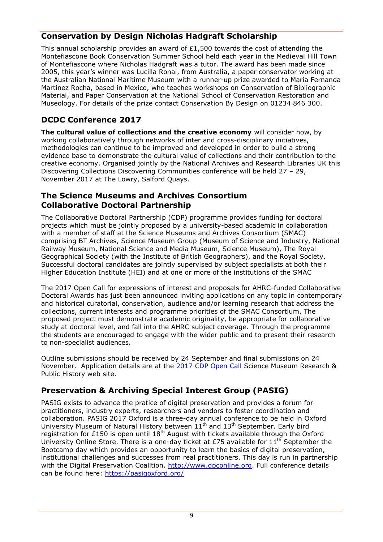## **Conservation by Design Nicholas Hadgraft Scholarship**

This annual scholarship provides an award of  $£1,500$  towards the cost of attending the Montefiascone Book Conservation Summer School held each year in the Medieval Hill Town of Montefiascone where Nicholas Hadgraft was a tutor. The award has been made since 2005, this year's winner was Lucilla Ronai, from Australia, a paper conservator working at the Australian National Maritime Museum with a runner-up prize awarded to Maria Fernanda Martinez Rocha, based in Mexico, who teaches workshops on Conservation of Bibliographic Material, and Paper Conservation at the National School of Conservation Restoration and Museology. For details of the prize contact Conservation By Design on 01234 846 300.

## **DCDC Conference 2017**

**The cultural value of collections and the creative economy** will consider how, by working collaboratively through networks of inter and cross-disciplinary initiatives, methodologies can continue to be improved and developed in order to build a strong evidence base to demonstrate the cultural value of collections and their contribution to the creative economy. Organised jointly by the National Archives and Research Libraries UK this Discovering Collections Discovering Communities conference will be held 27 – 29, November 2017 at The Lowry, Salford Quays.

#### **The Science Museums and Archives Consortium Collaborative Doctoral Partnership**

The Collaborative Doctoral Partnership (CDP) programme provides funding for doctoral projects which must be jointly proposed by a university-based academic in collaboration with a member of staff at the Science Museums and Archives Consortium (SMAC) comprising BT Archives, Science Museum Group (Museum of Science and Industry, National Railway Museum, National Science and Media Museum, Science Museum), The Royal Geographical Society (with the Institute of British Geographers), and the Royal Society. Successful doctoral candidates are jointly supervised by subject specialists at both their Higher Education Institute (HEI) and at one or more of the institutions of the SMAC

The 2017 Open Call for expressions of interest and proposals for AHRC-funded Collaborative Doctoral Awards has just been announced inviting applications on any topic in contemporary and historical curatorial, conservation, audience and/or learning research that address the collections, current interests and programme priorities of the SMAC Consortium. The proposed project must demonstrate academic originality, be appropriate for collaborative study at doctoral level, and fall into the AHRC subject coverage. Through the programme the students are encouraged to engage with the wider public and to present their research to non-specialist audiences.

Outline submissions should be received by 24 September and final submissions on 24 November. Application details are at the [2017 CDP Open Call](http://www.sciencemuseum.org.uk/about-us/collections-and-research/activities-and-projects/research-public-history/collaborative-doctoral-awards) Science Museum Research & Public History web site.

## **Preservation & Archiving Special Interest Group (PASIG)**

PASIG exists to advance the pratice of digital preservation and provides a forum for practitioners, industry experts, researchers and vendors to foster coordination and collaboration. PASIG 2017 Oxford is a three-day annual conference to be held in Oxford University Museum of Natural History between 11<sup>th</sup> and 13<sup>th</sup> September. Early bird registration for £150 is open until  $18<sup>th</sup>$  August with tickets available through the Oxford University Online Store. There is a one-day ticket at £75 available for  $11<sup>th</sup>$  September the Bootcamp day which provides an opportunity to learn the basics of digital preservation, institutional challenges and successes from real practitioners. This day is run in partnership with the Digital Preservation Coalition. [http://www.dpconline.org.](http://www.dpconline.org/) Full conference details can be found here: https://pasigoxford.org/